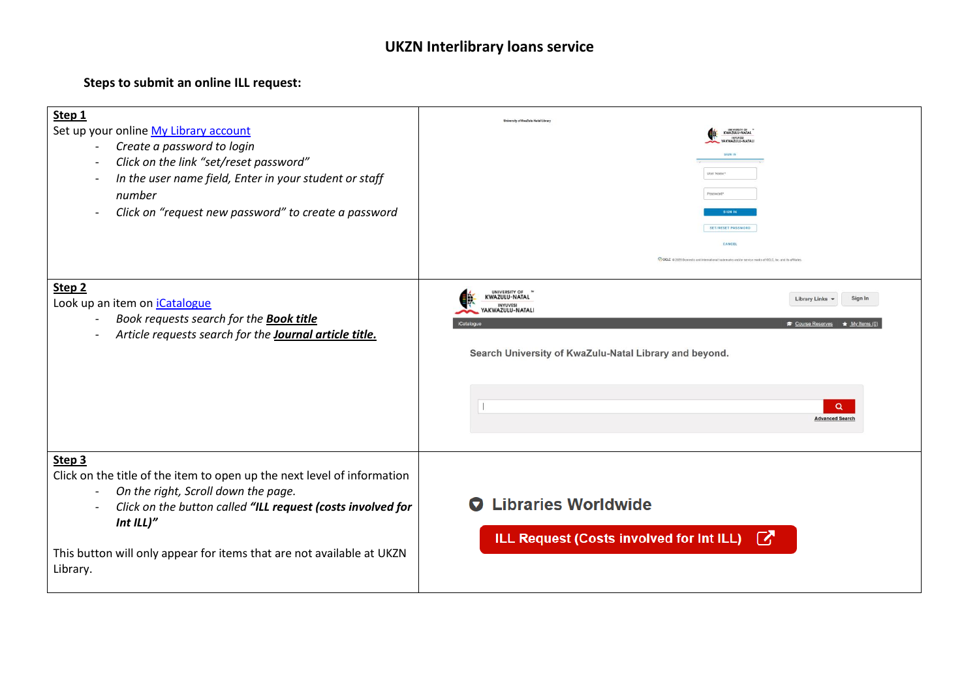## **UKZN Interlibrary loans service**

## **Steps to submit an online ILL request:**

| Step 1<br>Set up your online My Library account<br>Create a password to login<br>Click on the link "set/reset password"<br>In the user name field, Enter in your student or staff<br>number<br>Click on "request new password" to create a password<br>Step <sub>2</sub><br>Look up an item on <i>iCatalogue</i><br>Book requests search for the <b>Book title</b><br>Article requests search for the Journal article title. | <b>Iniversity of KwaZulu-Natal Libr</b><br>UNIVERSITY OF<br>CWAZULU-NATA<br><b>SIGN IN</b><br><b>SET/RESET PASSWORD</b><br>CANCEL<br>COCLC @ 2020 Domestic and international trademarks and/or service marks of OCLC, Inc. and its affi<br>UNIVERSITY OF "<br>KWAZULU-NATAL<br><b>Library Links</b><br>Sign In<br><b>INYUVES</b><br>YAKWAZULU-NATALI<br>Course Reserves<br>$\bigstar$ My Ite<br>Search University of KwaZulu-Natal Library and beyond. |
|------------------------------------------------------------------------------------------------------------------------------------------------------------------------------------------------------------------------------------------------------------------------------------------------------------------------------------------------------------------------------------------------------------------------------|--------------------------------------------------------------------------------------------------------------------------------------------------------------------------------------------------------------------------------------------------------------------------------------------------------------------------------------------------------------------------------------------------------------------------------------------------------|
| Step 3                                                                                                                                                                                                                                                                                                                                                                                                                       | Q<br><b>Advanced Search</b>                                                                                                                                                                                                                                                                                                                                                                                                                            |
| Click on the title of the item to open up the next level of information<br>On the right, Scroll down the page.<br>$\overline{\phantom{a}}$<br>Click on the button called "ILL request (costs involved for<br>Int $ILI$ "<br>This button will only appear for items that are not available at UKZN<br>Library.                                                                                                                | <b>Libraries Worldwide</b><br>ILL Request (Costs involved for Int ILL) [                                                                                                                                                                                                                                                                                                                                                                               |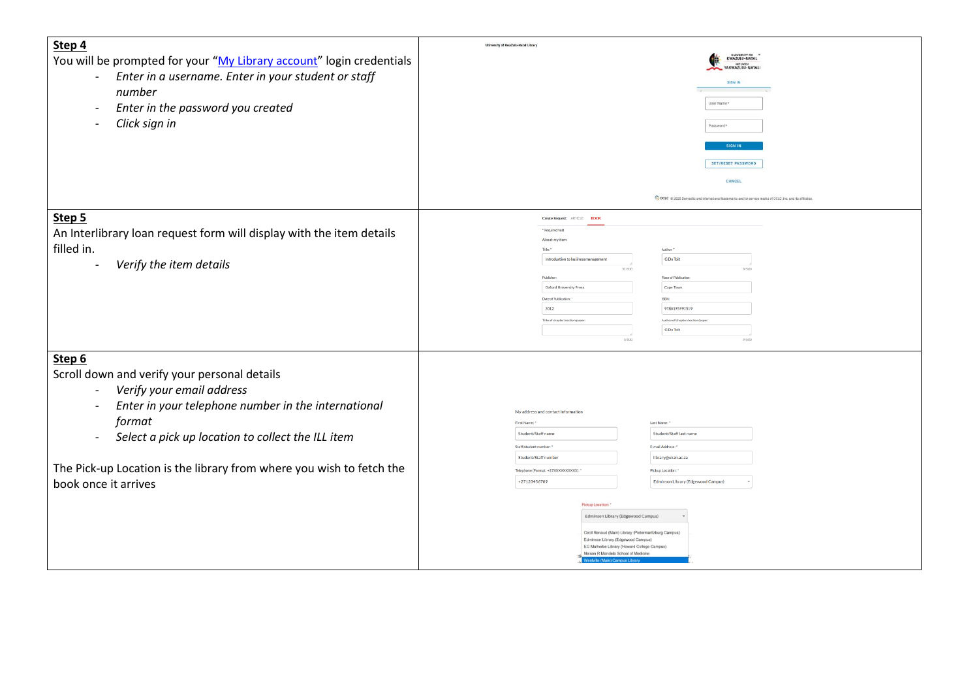| Step 4                                                                          | University of KwaZulu-Natal Library                                                                       |
|---------------------------------------------------------------------------------|-----------------------------------------------------------------------------------------------------------|
| You will be prompted for your "My Library account" login credentials            | <b>ENIVERSITY OF</b><br>KWAZULU-NATAL                                                                     |
| Enter in a username. Enter in your student or staff<br>$\overline{\phantom{a}}$ | INYUVESI<br>YAKWAZULU-NATAL                                                                               |
|                                                                                 | SIGN IN                                                                                                   |
| number                                                                          |                                                                                                           |
| Enter in the password you created                                               | User Name*                                                                                                |
|                                                                                 |                                                                                                           |
| Click sign in                                                                   | Password*                                                                                                 |
|                                                                                 | SIGN II                                                                                                   |
|                                                                                 |                                                                                                           |
|                                                                                 | <b>SET/RESET PASSWORD</b>                                                                                 |
|                                                                                 | CANCEL                                                                                                    |
|                                                                                 |                                                                                                           |
|                                                                                 | COCLC @ 2020 Domestic and international trademarks and/or service marks of OCLC, Inc. and its affiliates. |
|                                                                                 |                                                                                                           |
| Step 5                                                                          | <b>ARTICLE</b><br><b>Create Request:</b><br><b>DOCH</b>                                                   |
| An Interlibrary loan request form will display with the item details            | <sup>*</sup> Required field<br>About my item                                                              |
| filled in.                                                                      | Title:                                                                                                    |
|                                                                                 | G Du Toit<br>Introduction to business management                                                          |
| Verify the item details                                                         | 35/500<br>9/500                                                                                           |
|                                                                                 | Place of Publicatio<br>Publisher                                                                          |
|                                                                                 | Oxford University Press<br>Cape Town                                                                      |
|                                                                                 | Date of Publication<br><b>ISBN:</b><br>2012<br>9780195992519                                              |
|                                                                                 | Title of chapter/section/pa<br>Author of chapter/section/p                                                |
|                                                                                 | <b>G</b> Du Tolt                                                                                          |
|                                                                                 | 0/500<br>9/500                                                                                            |
|                                                                                 |                                                                                                           |
| Step 6                                                                          |                                                                                                           |
| Scroll down and verify your personal details                                    |                                                                                                           |
| Verify your email address<br>$\blacksquare$                                     |                                                                                                           |
|                                                                                 |                                                                                                           |
| Enter in your telephone number in the international                             | My address and contact information                                                                        |
| format                                                                          | First Name:<br>Last Name:                                                                                 |
| Select a pick up location to collect the ILL item                               | Student/Staff last name<br>Student/Staff name                                                             |
|                                                                                 | E-mail Address: *<br>Staff/student number                                                                 |
|                                                                                 | library@ukzn.ac.za<br>Student/Staff number                                                                |
| The Pick-up Location is the library from where you wish to fetch the            | Telephone (Format: +27XXXXXXXXXXX):<br>Pickup Location:                                                   |
| book once it arrives                                                            | +27123456789<br>Edminson Library (Edgewood Campus)                                                        |
|                                                                                 |                                                                                                           |
|                                                                                 | Pickup Location:                                                                                          |
|                                                                                 | Edminson Library (Edgewood Campus)                                                                        |
|                                                                                 |                                                                                                           |
|                                                                                 | Cecil Renaud (Main) Library (Pietermaritzburg Campus)<br>Edminson Library (Edgewood Campus)               |
|                                                                                 | EG Malherbe Library (Howard College Campus<br>alson R Mandela School of Medicine                          |
|                                                                                 | la (Main) Campus Libr                                                                                     |
|                                                                                 |                                                                                                           |